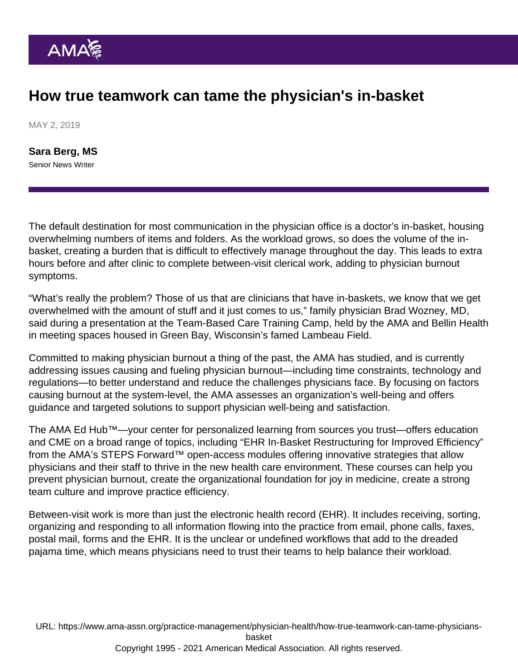## How true teamwork can tame the physician's in-basket

MAY 2, 2019

[Sara Berg, MS](https://www.ama-assn.org/news-leadership-viewpoints/authors-news-leadership-viewpoints/sara-berg-ms) Senior News Writer

The default destination for most communication in the physician office is a doctor's in-basket, housing overwhelming numbers of items and folders. As the workload grows, so does the volume of the inbasket, creating a burden that is difficult to effectively manage throughout the day. This leads to extra hours before and after clinic to complete between-visit clerical work, adding to physician burnout symptoms.

"What's really the problem? Those of us that are clinicians that have in-baskets, we know that we get overwhelmed with the amount of stuff and it just comes to us," family physician Brad Wozney, MD, said during a presentation at the Team-Based Care Training Camp, held by the AMA and Bellin Health in meeting spaces housed in Green Bay, Wisconsin's famed Lambeau Field.

Committed to making [physician burnout](https://www.ama-assn.org/amaone/equipping-physicians-manage-burnout) a thing of the past, the AMA has studied, and is currently addressing issues causing and fueling physician burnout—including time constraints, technology and regulations—to better understand and reduce the challenges physicians face. By focusing on factors causing burnout at the system-level, the AMA assesses an organization's well-being and offers guidance and targeted solutions to support physician well-being and satisfaction.

The AMA Ed Hub™—your center for personalized learning from sources you trust—offers education and CME on a broad range of topics, including ["EHR In-Basket Restructuring for Improved Efficiency"](https://edhub.ama-assn.org/steps-forward/module/2702694) from the AMA's [STEPS Forward](https://edhub.ama-assn.org/steps-forward/)™ open-access modules offering innovative strategies that allow physicians and their staff to thrive in the new health care environment. These courses can help you prevent physician burnout, create the organizational foundation for joy in medicine, create a strong team culture and improve practice efficiency.

Between-visit work is more than just the electronic health record (EHR). It includes receiving, sorting, organizing and responding to all information flowing into the practice from email, phone calls, faxes, postal mail, forms and the EHR. It is the unclear or undefined workflows that add to the dreaded [pajama time](https://www.ama-assn.org/practice-management/digital/family-doctors-spend-86-minutes-pajama-time-ehrs-nightly), which means physicians need to trust their teams to help balance their workload.

URL: [https://www.ama-assn.org/practice-management/physician-health/how-true-teamwork-can-tame-physicians](https://www.ama-assn.org/practice-management/physician-health/how-true-teamwork-can-tame-physicians-basket)[basket](https://www.ama-assn.org/practice-management/physician-health/how-true-teamwork-can-tame-physicians-basket)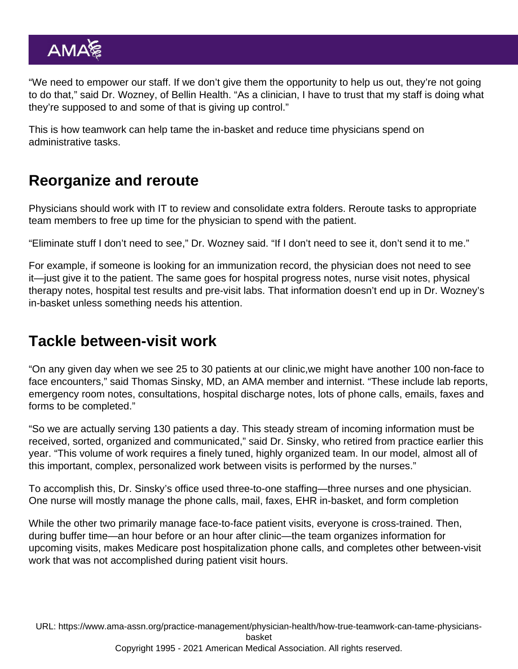"We need to empower our staff. If we don't give them the opportunity to help us out, they're not going to do that," said Dr. Wozney, of Bellin Health. "As a clinician, I have to trust that my staff is doing what they're supposed to and some of that is giving up control."

This is how teamwork can help tame the in-basket and reduce time physicians spend on administrative tasks.

## Reorganize and reroute

Physicians should work with IT to review and consolidate extra folders. Reroute tasks to appropriate team members to free up time for the physician to spend with the patient.

"Eliminate stuff I don't need to see," Dr. Wozney said. "If I don't need to see it, don't send it to me."

For example, if someone is looking for an immunization record, the physician does not need to see it—just give it to the patient. The same goes for hospital progress notes, nurse visit notes, physical therapy notes, hospital test results and pre-visit labs. That information doesn't end up in Dr. Wozney's in-basket unless something needs his attention.

## Tackle between-visit work

"On any given day when we see 25 to 30 patients at our clinic,we might have another 100 non-face to face encounters," said Thomas Sinsky, MD, an AMA member and internist. "These include lab reports, emergency room notes, consultations, hospital discharge notes, lots of phone calls, emails, faxes and forms to be completed."

"So we are actually serving 130 patients a day. This steady stream of incoming information must be received, sorted, organized and communicated," said Dr. Sinsky, who retired from practice earlier this year. "This volume of work requires a finely tuned, highly organized team. In our model, almost all of this important, complex, personalized work between visits is performed by the nurses."

To accomplish this, Dr. Sinsky's office used three-to-one staffing—three nurses and one physician. One nurse will mostly manage the phone calls, mail, faxes, EHR in-basket, and form completion

While the other two primarily manage face-to-face patient visits, everyone is cross-trained. Then, during buffer time—an hour before or an hour after clinic—the team organizes information for upcoming visits, makes Medicare post hospitalization phone calls, and completes other between-visit work that was not accomplished during patient visit hours.

URL: [https://www.ama-assn.org/practice-management/physician-health/how-true-teamwork-can-tame-physicians](https://www.ama-assn.org/practice-management/physician-health/how-true-teamwork-can-tame-physicians-basket)[basket](https://www.ama-assn.org/practice-management/physician-health/how-true-teamwork-can-tame-physicians-basket) Copyright 1995 - 2021 American Medical Association. All rights reserved.